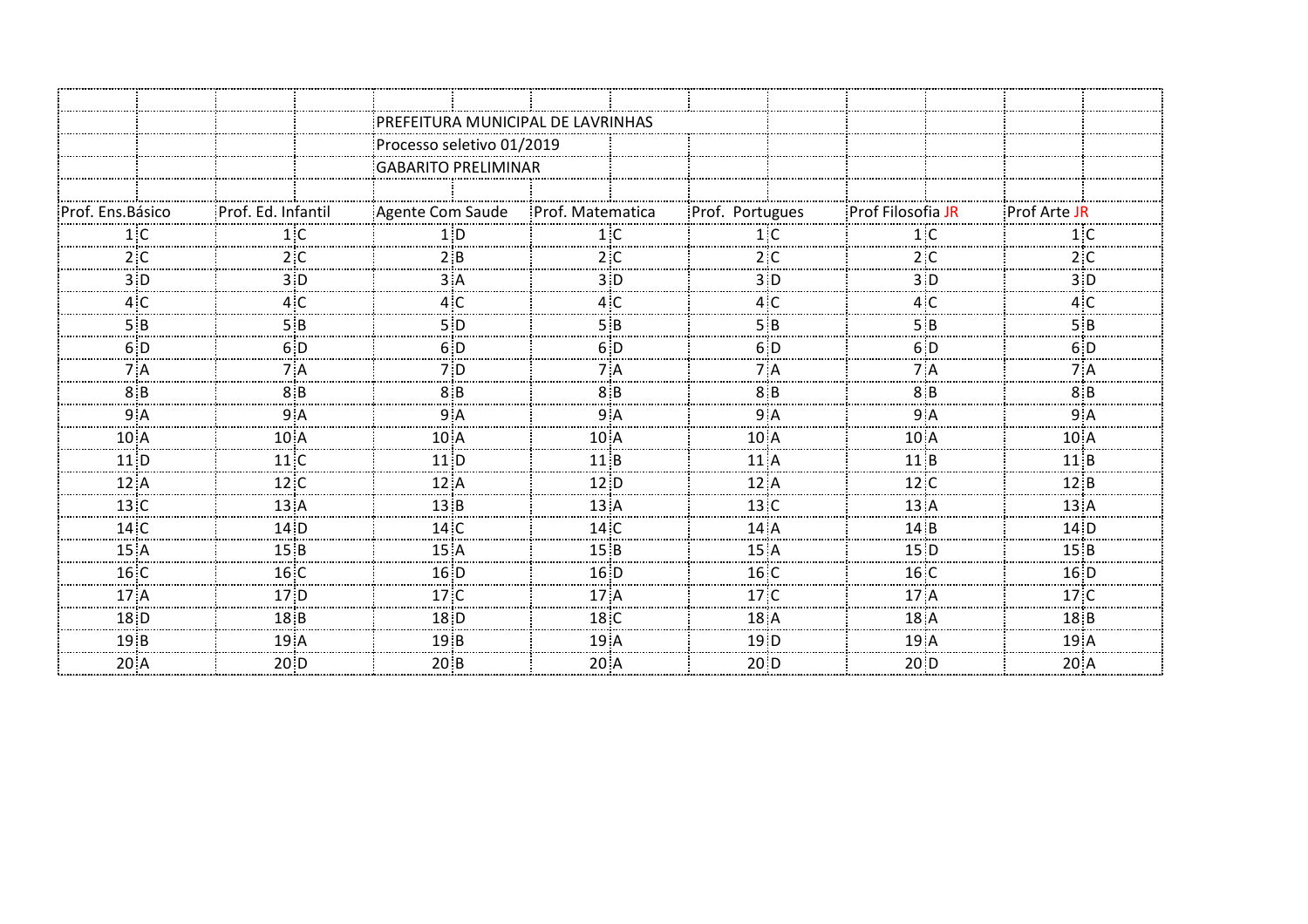|                   |                    | PREFEITURA MUNICIPAL DE LAVRINHAS |                  |                     |                     |                    |  |  |
|-------------------|--------------------|-----------------------------------|------------------|---------------------|---------------------|--------------------|--|--|
|                   |                    | Processo seletivo 01/2019         |                  |                     |                     |                    |  |  |
|                   |                    | GABARITO PRELIMINAR               |                  |                     |                     |                    |  |  |
|                   |                    |                                   |                  |                     |                     |                    |  |  |
| Prof. Ens. Básico | Prof. Ed. Infantil | Agente Com Saude                  | Prof. Matematica | Prof. Portugues     | Prof Filosofia JR   | Prof Arte JF       |  |  |
| 1 C               | 1:C                |                                   | 1 :C             | 1 : C               | 1 ፡ Ր               |                    |  |  |
| 2 C               | 2: C               |                                   | 2C               | 2 :C                | 2:C                 | 2 :C               |  |  |
|                   | 3:0                |                                   |                  | з÷р                 |                     |                    |  |  |
|                   |                    |                                   |                  |                     |                     |                    |  |  |
|                   | 5:8                | 5 D                               | 5 B              | 5:B                 | 5 B                 | 5 B                |  |  |
|                   | 6D                 | 6 D                               | 6 D              | 6 D                 | 6 D                 | 6 D                |  |  |
| 7 A               |                    | 7 D                               | 7 A              | 7 A                 | 7 A                 |                    |  |  |
| 8: B              | 8: B               |                                   |                  | 8: B                |                     |                    |  |  |
| 9 Α               | 9: A               | 9: A                              | 9 A              | 9A                  | 9: A                | 9: A               |  |  |
| 10 A              | 10 A               | $10^{\circ}$ A                    |                  | $10^{\circ}$ A      | 10 A                | 10 A               |  |  |
| 11 ID             | 11 C               | $11$ D                            | 11 i B           | $11$ : A            | 11:B                | 11:B               |  |  |
| 12:A              | 12:C               | 12: A                             | 12: D            | 12A                 | 12:                 | 12: B              |  |  |
| 13C               | $13:$ A            | 13:B                              | 13: A            | 13C                 | 13A                 | 13: A              |  |  |
| 14C               | 14: D              | 14C                               | 14C              | 14A                 | $14$ : B            | $14$ <sup>:D</sup> |  |  |
| 15:A              | 15:B               | 15A                               | 15:B             | 15A                 | 15 D                | 15:B               |  |  |
| 16C               | 16C                | $16$ <sup>:D</sup>                | 16: D            | 16C                 | 16C                 | 16: D              |  |  |
| $17:$ A           | $17:$ D            | 17 C                              | 17 A             | 17 <sub>°</sub> C   | $17:$ $\Delta$      | 17 C               |  |  |
| 18 D              | 18 B               | 18 <sub>D</sub>                   | 18C              | 18A                 | 18A                 | 18B                |  |  |
| 19:B              | 19A                | 19B                               | 19 <sup>1</sup>  | 19:D                | 19A                 | 19A                |  |  |
| $20$ A            | 20: D              | $20$ <sub>B</sub>                 | $20$ A           | $20$ <sup>:</sup> D | $20$ <sup>:</sup> D | $20$ : A           |  |  |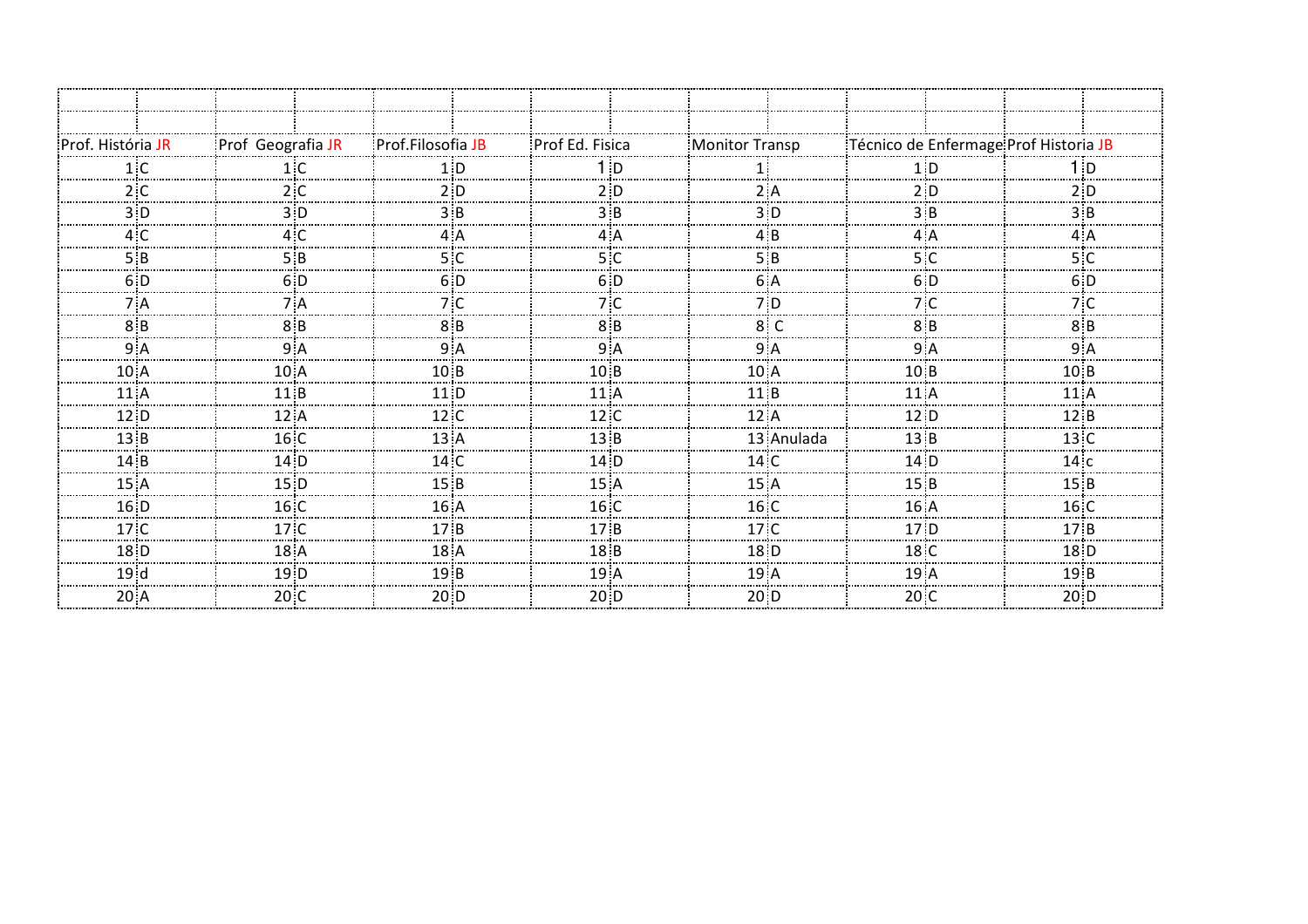| Prof. História JR | Prof Geografia JR | Prof.Filosofia JB | Prof Ed. Fisica   | Monitor Transp    | Técnico de Enfermage Prof Historia JB |                   |
|-------------------|-------------------|-------------------|-------------------|-------------------|---------------------------------------|-------------------|
|                   |                   |                   |                   |                   |                                       |                   |
| 2 C               | 2:C               |                   |                   |                   |                                       |                   |
|                   | ח∶?               |                   |                   |                   |                                       |                   |
|                   |                   |                   |                   |                   |                                       |                   |
| 5 R               | 5 R               | 5 : 0             |                   | 5 R               | 5 C                                   |                   |
| 6 D               | 6: D              | 6 D               | 6 D               |                   | 6: D                                  | 6:D               |
|                   | 7 : A             |                   |                   | 7:D               | 7:C                                   | 7:0               |
| 8:B               | 8:8               |                   | 8 R               |                   | 8:8                                   |                   |
|                   | 9 A               | 9 Α               |                   | 9: A              | 9:                                    | 9 Α               |
| 10A               | 10 <sup>3</sup> A | 10:B              | 10:B              | 10A               | 10:B                                  | 10:B              |
| 11:A              | 11 i B            | 11: D             | $11$ :A           | 11 i B            | $11$ :A                               | 11 I A            |
| 12: D             | 12: A             | 12:               | 12:C              | 12A               | 12: D                                 | 12:B              |
| 13:B              | 16:C              | $13:$ A           | 13:B              | 13 Anulada        | 13:B                                  | $13:$ C           |
| $14$ $B$          | 14: D             | 14C               | $14$ $D$          | 14C               | $14$ D                                | 14:               |
| 15A               | 15: D             | 15B               | 15A               | 15 A              | 15:B                                  | 15:B              |
| 16 <sub>D</sub>   | $16:$ C           | 16A               | 16 C              | 16 C              | 16A                                   | 16 C              |
| $17°$ C           | 17 <sup>2</sup>   | 17:B              | 17B               | $17°$ C           | 17 <sub>1</sub> D                     | 17B               |
| 18 <sub>1</sub> D | 18A               | 18A               | 18:B              | 18 <sub>i</sub> D | 18C                                   | 18: D             |
| 19d               | 19: D             | 19 B              | 19A               | $19$ <sup>A</sup> | 19A                                   | 19 B              |
| $20$ A            | $20\degree$ C     | 20: D             | $20$ <sup>D</sup> | $20\overline{)}D$ | 20C                                   | $20\overline{)}D$ |